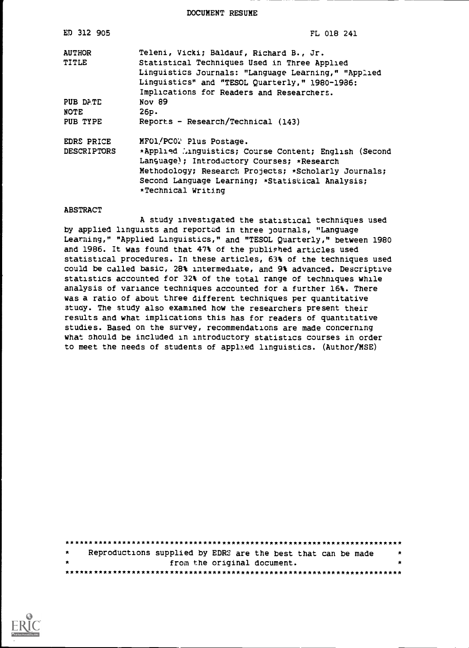DOCUMENT RESUME

| ED 312 905         | FL 018 241                                                                                                                                                                                                                            |
|--------------------|---------------------------------------------------------------------------------------------------------------------------------------------------------------------------------------------------------------------------------------|
| <b>AUTHOR</b>      | Teleni, Vicki; Baldauf, Richard B., Jr.                                                                                                                                                                                               |
| TITLE              | Statistical Techniques Used in Three Applied<br>Linguistics Journals: "Language Learning," "Applied<br>Linguistics" and "TESOL Quarterly," 1980-1986:<br>Implications for Readers and Researchers.                                    |
| PUB DATE           | Nov 89                                                                                                                                                                                                                                |
| NOTE               | 26p.                                                                                                                                                                                                                                  |
| PUB TYPE           | Reports - Research/Technical (143)                                                                                                                                                                                                    |
| EDRS PRICE         | MFO1/PC02 Plus Postage.                                                                                                                                                                                                               |
| <b>DESCRIPTORS</b> | *Applied Minguistics; Course Content; English (Second<br>Language); Introductory Courses; *Research<br>Methodology; Research Projects; *Scholarly Journals;<br>Second Language Learning; *Statistical Analysis;<br>*Technical Writing |

#### ABSTRACT

A study investigated the statistical techniques used by applied linguists and reported in three journals, "Language Learning," "Applied Linguistics," and "TESOL Quarterly," between 1980 and 1986. It was found that 47% of the published articles used statistical procedures. In these articles, 63% of the techniques used could be called basic, 28% intermediate, and 9% advanced. Descriptive statistics accounted for 32% of the total range of techniques while analysis of variance techniques accounted for a further 16%. There was a ratio of about three different techniques per quantitative study. The study also examined how the researchers present their results and what implications this has for readers of quantitative studies. Based on the survey, recommendations are made concerning what should be included in introductory statistics courses in order to meet the needs of students of applied linguistics. (Author/MSE)

| $\star$ |  | Reproductions supplied by EDRS are the best that can be made | $\mathbf{x}$ |
|---------|--|--------------------------------------------------------------|--------------|
| $\star$ |  | from the original document.                                  | $\bullet$    |
|         |  |                                                              |              |

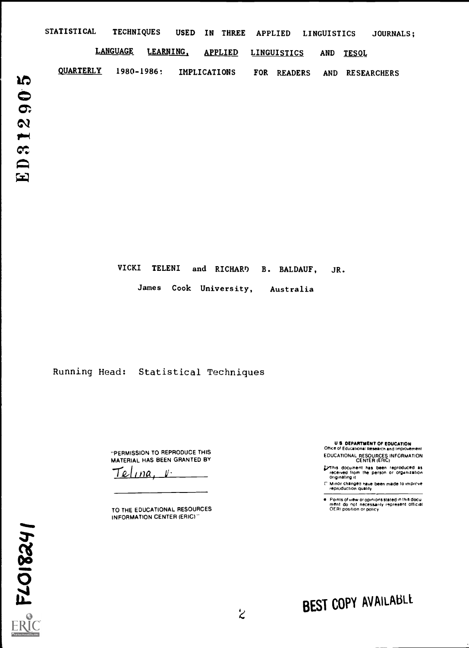|                                   | <b>STATISTICAL</b> | <b>TECHNIQUES</b> | USED IN THREE APPLIED       |                    | <b>LINGUISTICS</b>         | JOURNALS; |
|-----------------------------------|--------------------|-------------------|-----------------------------|--------------------|----------------------------|-----------|
|                                   |                    | <b>LANGUAGE</b>   | LEARNING,<br><b>APPLIED</b> | <b>LINGUISTICS</b> | <b>AND</b><br><b>TESOL</b> |           |
| <b>JO</b>                         | <b>QUARTERLY</b>   | $1980 - 1986:$    | <b>IMPLICATIONS</b>         | FOR READERS        | <b>RESEARCHERS</b><br>AND  |           |
| $\ddot{\bullet}$                  |                    |                   |                             |                    |                            |           |
| $\sigma$<br>$\boldsymbol{\alpha}$ |                    |                   |                             |                    |                            |           |
| $\blacktriangleright$             |                    |                   |                             |                    |                            |           |
| $C^{\bullet}$<br>$\blacksquare$   |                    |                   |                             |                    |                            |           |
| $\mathbf{E}$                      |                    |                   |                             |                    |                            |           |
|                                   |                    |                   |                             |                    |                            |           |

VICKI TELENI and RICHARD B. BALDAUF, JR.

James Cook University, Australia

Running Head: Statistical Techniques

"PERMISSION TO REPRODUCE THIS MATERIAL HAS BEEN GRANTED BY

<u>Telina, V.</u>

TO THE EDUCATIONAL RESOURCES INFORMATION CENTER (ERIC)

U S DEPARTMENT OF EDUCATION Office of Educational Research and Improvement

EDUCATIONAL RESOURCES INFORMATION CENTER (ERIC)

- his document has been reproduced as received from the person or organization originating it
- l". Minor changes have been made to improve.<br>- reproduction quality

Points of view or opinions stated in this docu<br>ment: do: not : necessarily: represent: official<br>OERI position or policy

 $FLO18241$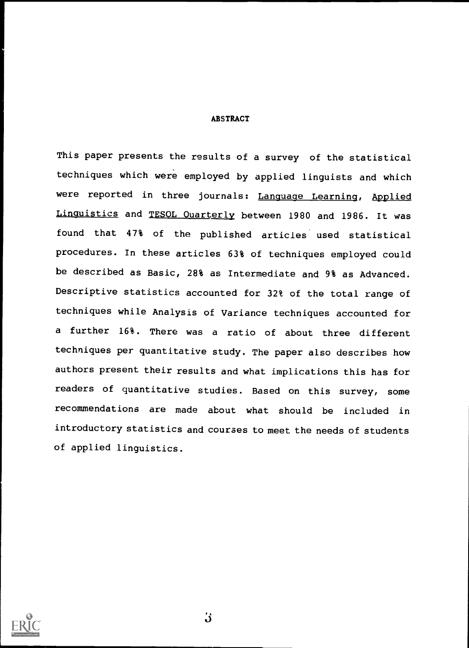ABSTRACT

This paper presents the results of a survey of the statistical techniques which were employed by applied linguists and which were reported in three journals: Language Learning, Applied Linguistics and TESOL Quarterly between 1980 and 1986. It was found that 47% of the published articles used statistical procedures. In these articles 63% of techniques employed could be described as Basic, 28% as Intermediate and 9% as Advanced. Descriptive statistics accounted for 32% of the total range of techniques while Analysis of Variance techniques accounted for a further 16%. There was <sup>a</sup> ratio of about three different techniques per quantitative study. The paper also describes how authors present their results and what implications this has for readers of quantitative studies. Based on this survey, some recommendations are made about what should be included in introductory statistics and courses to meet the needs of students of applied linguistics.

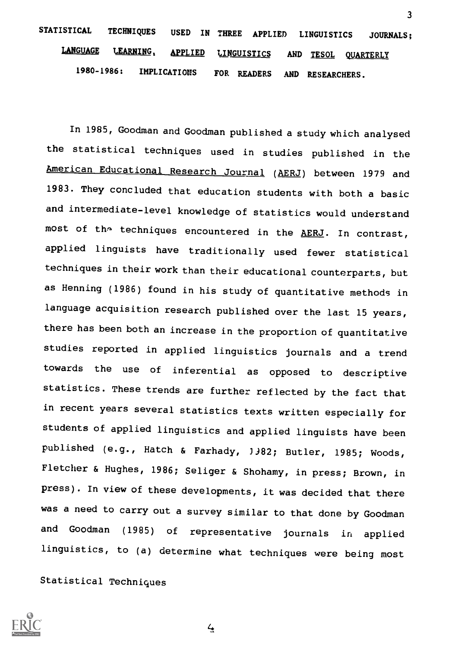# STATISTICAL TECHNIQUES USED IN THREE APPLIED LINGUISTICS JOURNALS; LANGUAGE LEARNING, APPLIED LINGUISTICS AND TESOL QUARTERLY 1980 -1986: IMPLICATIONS FOR READERS AND RESEARCHERS.

3

In 1985, Goodman and Goodman published a study which analysed the statistical techniques used in studies published in the American Educational Research Journal (AERJ) between 1979 and 1983. They concluded that education students with both a basic and intermediate-level knowledge of statistics would understand most of the techniques encountered in the AERJ. In contrast, applied linguists have traditionally used fewer statistical techniques in their work than their educational counterparts, but as Henning (1986) found in his study of quantitative methods in language acquisition research published over the last 15 years, there has been both an increase in the proportion of quantitative studies reported in applied linguistics journals and a trend towards the use of inferential as opposed to descriptive statistics. These trends are further reflected by the fact that in recent years several statistics texts written especially for students of applied linguistics and applied linguists have been published (e.g., Hatch & Farhady, 3382; Butler, 1985; Woods, Fletcher & Hughes, 1986; Seliger & Shohamy, in press; Brown, in press). In view of these developments, it was decided that there was a need to carry out a survey similar to that done by Goodman and Goodman (1985) of representative journals in applied linguistics, to (a) determine what techniques were being most

Statistical Techniques



 $\frac{1}{4}$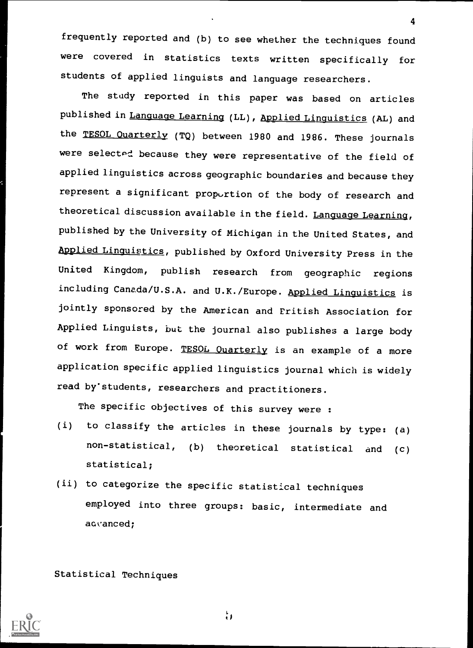frequently reported and (b) to see whether the techniques found were covered in statistics texts written specifically for students of applied linguists and language researchers.

4

The study reported in this paper was based on articles published in Language Learning (LL), Applied Linguistics (AL) and the TESOL Quarterly (TQ) between 1980 and 1986. These journals were selected because they were representative of the field of applied linguistics across geographic boundaries and because they represent a significant proportion of the body of research and theoretical discussion available in the field. Language Learning, published by the University of Michigan in the United States, and Applied Linguistics, published by Oxford University Press in the United Kingdom, publish research from geographic regions including Canada/U.S.A. and U.K./Europe. Applied Linguistics is jointly sponsored by the American and Eritish Association for Applied Linguists, but the journal also publishes a large body of work from Europe. TESOL Ouarterly is an example of a more application specific applied linguistics journal which is widely read by'students, researchers and practitioners.

The specific objectives of this survey were :

- (i) to classify the articles in these journals by type: (a) non-statistical, (b) theoretical statistical and (c) statistical;
- (ii) to categorize the specific statistical techniques employed into three groups: basic, intermediate and advanced;

Statistical Techniques



÷,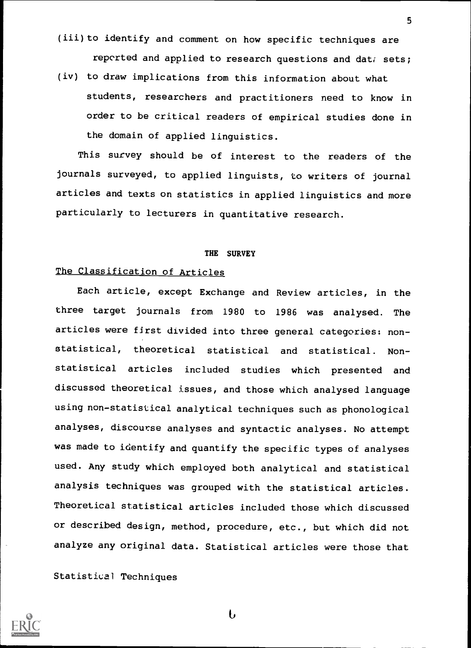(iii) to identify and comment on how specific techniques are reported and applied to research questions and dat; sets;

5

(iv) to draw implications from this information about what students, researchers and practitioners need to know in order to be critical readers of empirical studies done in the domain of applied linguistics.

This survey should be of interest to the readers of the journals surveyed, to applied linguists, to writers of journal articles and texts on statistics in applied linguistics and more particularly to lecturers in quantitative research.

#### THE SURVEY

## The Classification of Articles

Each article, except Exchange and Review articles, in the three target journals from 1980 to 1986 was analysed. The articles were first divided into three general categories: nonstatistical, theoretical statistical and statistical. Nonstatistical articles included studies which presented and discussed theoretical issues, and those which analysed language using non-statistical analytical techniques such as phonological analyses, discourse analyses and syntactic analyses. No attempt was made to identify and quantify the specific types of analyses used. Any study which employed both analytical and statistical analysis techniques was grouped with the statistical articles. Theoretical statistical articles included those which discussed or described design, method, procedure, etc., but which did not analyze any original data. Statistical articles were those that

Statistical Techniques



b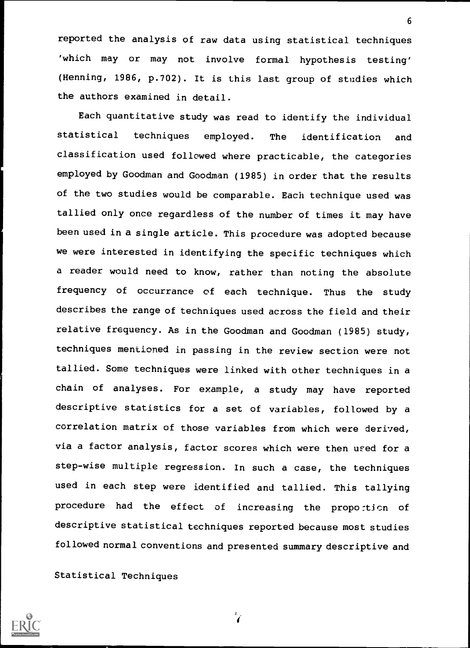reported the analysis of raw data using statistical techniques 'which may or may not involve formal hypothesis testing' (Henning, 1986, p.702). It is this last group of studies which the authors examined in detail.

Each quantitative study was read to identify the individual statistical techniques employed. The identification and classification used followed where practicable, the categories employed by Goodman and Goodman (1985) in order that the results of the two studies would be comparable. Each technique used was tallied only once regardless of the number of times it may have been used in a single article. This procedure was adopted because we were interested in identifying the specific techniques which a reader would need to know, rather than noting the absolute frequency of occurrance of each technique. Thus the study describes the range of techniques used across the field and their relative frequency. As in the Goodman and Goodman (1985) study, techniques mentioned in passing in the review section were not tallied. Some techniques were linked with other techniques in achain of analyses. For example, <sup>a</sup> study may have reported descriptive statistics for a set of variables, followed by a correlation matrix of those variables from which were derived, via a factor analysis, factor scores which were then used for a step-wise multiple regression. In such a case, the techniques used in each step were identified and tallied. This tallying procedure had the effect of increasing the propo:ticn of descriptive statistical techniques reported because most studies followed normal conventions and presented summary descriptive and

Statistical Techniques

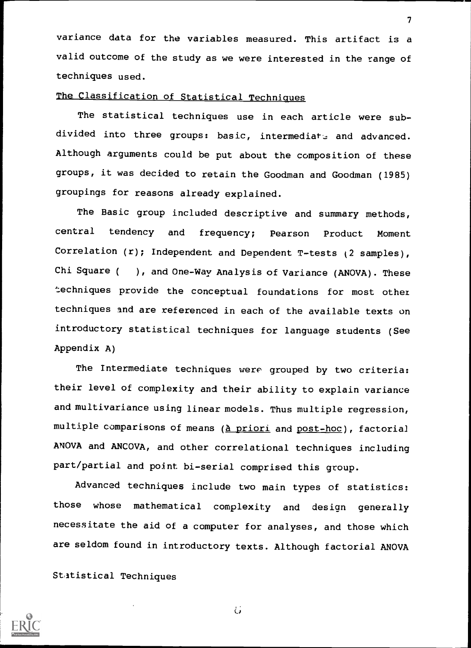variance data for the variables measured. This artifact is a valid outcome of the study as we were interested in the range of techniques used.

 $\mathcal{T}$  and  $\mathcal{T}$ 

# The Classification of Statistical Techniques

The statistical techniques use in each article were subdivided into three groups: basic, intermediate and advanced. Although arguments could be put about the composition of these groups, it was decided to retain the Goodman and Goodman (1985) groupings for reasons already explained.

The Basic group included descriptive and summary methods, central tendency and frequency; Pearson Product Moment Correlation  $(r)$ ; Independent and Dependent T-tests  $(2 \text{ samples})$ , Chi Square ( ), and One-Way Analysis of Variance (ANOVA). These techniques provide the conceptual foundations for most othez techniques and are referenced in each of the available texts on introductory statistical techniques for language students (See Appendix A)

The Intermediate techniques were grouped by two criteria: their level of complexity and their ability to explain variance and multivariance using linear models. Thus multiple regression, multiple comparisons of means (à priori and post-hoc), factorial ANOVA and ANCOVA, and other correlational techniques including part/partial and point bi-serial comprised this group.

Advanced techniques include two main types of statistics: those whose mathematical complexity and design generally necessitate the aid of a computer for analyses, and those which are seldom found in introductory texts. Although factorial ANOVA

Statistical Techniques



Ġ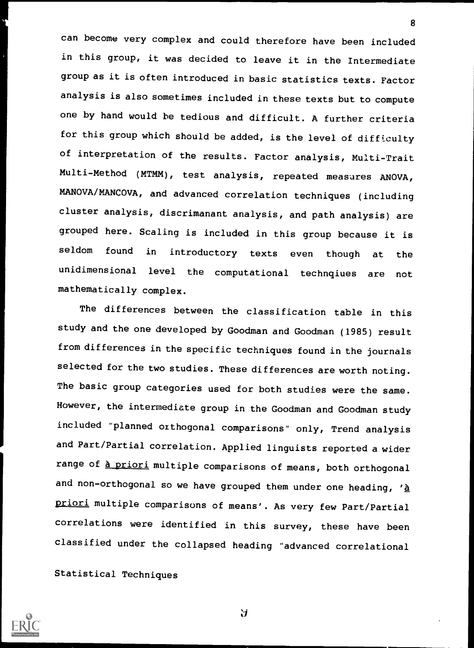can become very complex and could therefore have been included in this group, it was decided to leave it in the Intermediate group as it is often introduced in basic statistics texts. Factor analysis is also sometimes included in these texts but to compute one by hand would he tedious and difficult. A further criteria for this group which should be added, is the level of difficulty of interpretation of the results. Factor analysis, Multi-Trait Multi-Method (MTMM), test analysis, repeated measures ANOVA, MANOVA/MANCOVA, and advanced correlation techniques (including cluster analysis, discrimanant analysis, and path analysis) are grouped here. Scaling is included in this group because it is seldom found in introductory texts even though at the unidimensional level the computational technqiues are not mathematically complex.

8

The differences between the classification table in this study and the one developed by Goodman and Goodman (1985) result from differences in the specific techniques found in the journals selected for the two studies. These differences are worth noting. The basic group categories used for both studies were the same. However, the intermediate group in the Goodman and Goodman study included "planned orthogonal comparisons" only, Trend analysis and Part/Partial correlation. Applied linguists reported a wider range of <u>à priori</u> multiple comparisons of means, both orthogonal and non-orthogonal so we have grouped them under one heading,  $'\underline{\mathtt{a}}$ priori multiple comparisons of means'. As very few Part/Partial correlations were identified in this survey, these have been classified under the collapsed heading "advanced correlational

Statistical Techniques



Э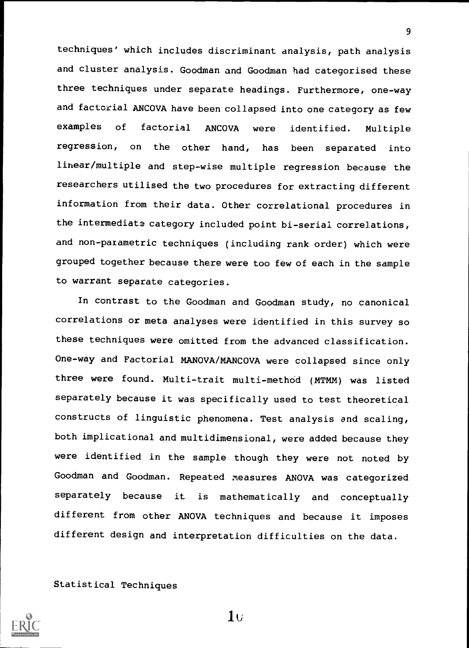techniques' which includes discriminant analysis, path analysis and cluster analysis. Goodman and Goodman had categorised these three techniques under separate headings. Furthermore, one-way and factorial ANCOVA have been collapsed into one category as few examples of factorial ANCOVA were identified. Multiple regression, on the other hand, has been separated into linear/multiple and step-wise multiple regression because the researchers utilised the two procedures for extracting different information from their data. Other correlational procedures in the intermediate category included point bi-serial correlations, and non-parametric techniques (including rank order) which were grouped together because there were too few of each in the sample to warrant separate categories.

In contrast to the Goodman and Goodman study, no canonical correlations or meta analyses were identified in this survey so these techniques were omitted from the advanced classification. One-way and Factorial MANOVA/MANCOVA were collapsed since only three were found. Multi-trait multi-method (MTMM) was listed separately because it was specifically used to test theoretical constructs of linguistic phenomena. Test analysis and scaling, both implicational and multidimensional, were added because they were identified in the sample though they were not noted by Goodman and Goodman. Repeated measures ANOVA was categorized separately because it is mathematically and conceptually different from other ANOVA techniques and because it imposes different design and interpretation difficulties on the data.

Statistical Techniques

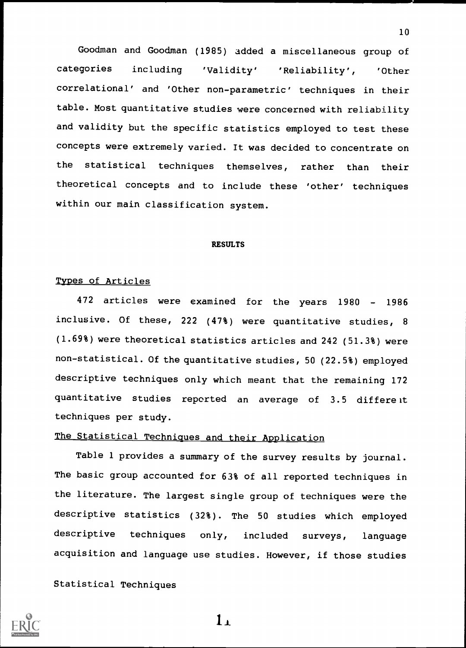Goodman and Goodman (1985) added a miscellaneous group of categories including 'Validity' 'Reliability', 'Other correlational' and 'Other non-parametric' techniques in their table. Most quantitative studies were concerned with reliability and validity but the specific statistics employed to test these concepts were extremely varied. It was decided to concentrate on the statistical techniques themselves, rather than their theoretical concepts and to include these 'other' techniques within our main classification system.

#### RESULTS

## Types of Articles

472 articles were examined for the years 1980 - 1986 inclusive. Of these, 222 (47%) were quantitative studies, <sup>8</sup> (1.69%) were theoretical statistics articles and 242 (51.3%) were non-statistical. Of the quantitative studies, 50 (22.5%) employed descriptive techniques only which meant that the remaining 172 quantitative studies reported an average of 3.5 differeit techniques per study.

# The Statistical Techniques and their Application

Table 1 provides a summary of the survey results by journal. The basic group accounted for 63% of all reported techniques in the literature. The largest single group of techniques were the descriptive statistics (32%). The 50 studies which employed descriptive techniques only, included surveys, language acquisition and language use studies. However, if those studies

## Statistical Techniques



1.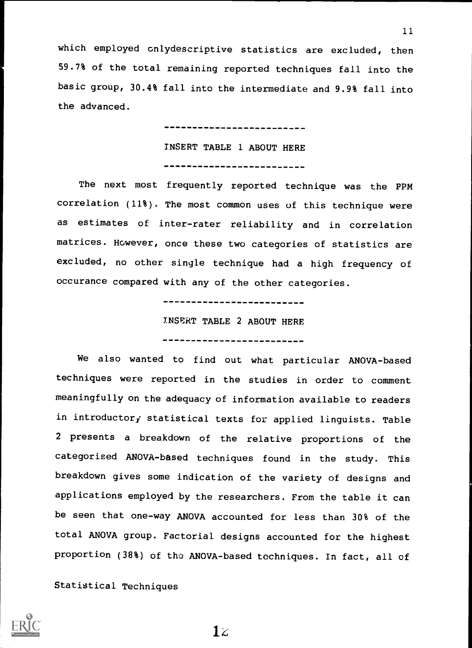which employed cnlydescriptive statistics are excluded, then 59.7% of the total remaining reported techniques fall into the basic group, 30.4% fall into the intermediate and 9.9% fall into the advanced.

> -------------------------INSERT TABLE 1 ABOUT HERE -------------------------

The next most frequently reported technique was the PPM correlation (11%). The most common uses of this technique were as estimates of inter-rater reliability and in correlation matrices. However, once these two categories of statistics are excluded, no other single technique had a high frequency of occurance compared with any of the other categories.

> -------------------------INSERT TABLE 2 ABOUT HERE --------------------------

We also wanted to find out what particular ANOVA-based techniques were reported in the studies in order to comment meaningfully on the adequacy of information available to readers in introductory statistical texts for applied linguists. Table <sup>2</sup> presents <sup>a</sup> breakdown of the relative proportions of the categorised ANOVA-based techniques found in the study. This breakdown gives some indication of the variety of designs and applications employed by the researchers. From the table it can be seen that one-way ANOVA accounted for less than 30% of the total ANOVA group. Factorial designs accounted for the highest proportion (38%) of the ANOVA-based techniques. In fact, all of

Statistical Techniques



 $1\overline{z}$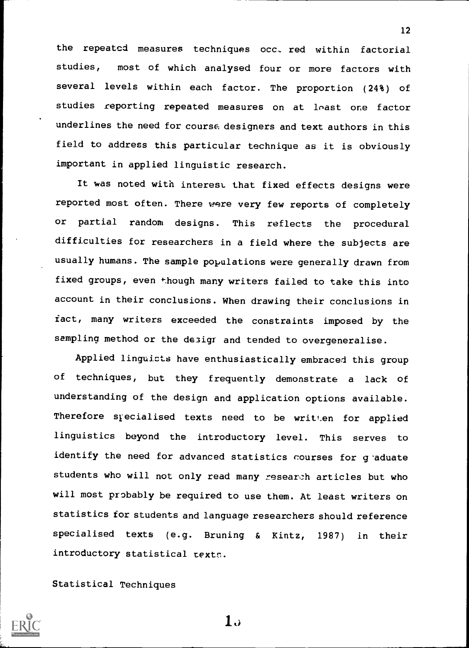the repeated measures techniques occ, red within factorial studies, most of which analysed four or more factors with several levels within each factor. The proportion (24%) of studies reporting repeated measures on at least one factor underlines the need for course designers and text authors in this field to address this particular technique as it is obviously important in applied linguistic research.

12

It was noted with interest that fixed effects designs were reported most often. There were very few reports of completely or partial random designs. This reflects the procedural difficulties for researchers in a field where the subjects are usually humans. The sample populations were generally drawn from fixed groups, even though many writers failed to take this into account in their conclusions. When drawing their conclusions in fact, many writers exceeded the constraints imposed by the sampling method or the desigr and tended to overgeneralise.

Applied linguicts have enthusiastically embraced this group of techniques, but they frequently demonstrate <sup>a</sup> lack of understanding of the design and application options available. Therefore specialised texts need to be written for applied linguistics beyond the introductory level. This serves to identify the need for advanced statistics courses for g'aduate students who will not only read many research articles but who will most probably be required to use them. At least writers on statistics for students and language researchers should reference specialised texts (e.g. Bruning & Kintz, 1987) in their introductory statistical texts.

Statistical Techniques



 $1.5$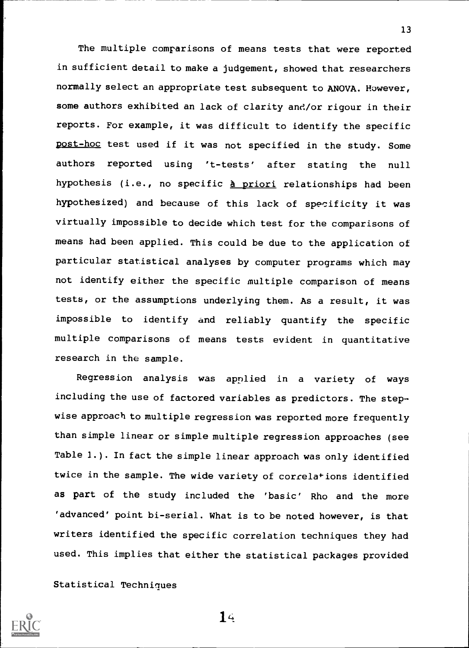The multiple comparisons of means tests that were reported in sufficient detail to make a judgement, showed that researchers normally select an appropriate test subsequent to ANOVA. However, some authors exhibited an lack of clarity and/or rigour in their reports. For example, it was difficult to identify the specific post-hoc test used if it was not specified in the study. Some authors reported using 't-tests' after stating the null hypothesis (i.e., no specific à priori relationships had been hypothesized) and because of this lack of specificity it was virtually impossible to decide which test for the comparisons of means had been applied. This could be due to the application of particular statistical analyses by computer programs which may not identify either the specific multiple comparison of means tests, or the assumptions underlying them. As a result, it was impossible to identify and reliably quantify the specific multiple comparisons of means tests evident in quantitative research in the sample.

Regression analysis was applied in a variety of ways including the use of factored variables as predictors. The stepwise approach to multiple regression was reported more frequently than simple linear or simple multiple regression approaches (see Table 1.). In fact the simple linear approach was only identified twice in the sample. The wide variety of correlations identified as part of the study included the 'basic' Rho and the more 'advanced' point bi-serial. What is to be noted however, is that writers identified the specific correlation techniques they had used. This implies that either the statistical packages provided

Statistical Techniques

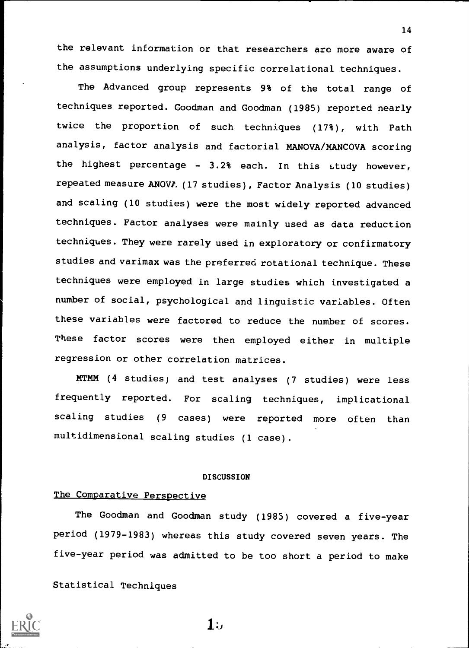the relevant information or that researchers are more aware of the assumptions underlying specific correlational techniques.

The Advanced group represents 9% of the total range of techniques reported. Goodman and Goodman (1985) reported nearly twice the proportion of such techniques (17%), with Path analysis, factor analysis and factorial MANOVA/MANCOVA scoring the highest percentage - 3.2% each. In this study however, repeated measure ANOVP. (17 studies), Factor Analysis (10 studies) and scaling (10 studies) were the most widely reported advanced techniques. Factor analyses were mainly used as data reduction techniques. They were rarely used in exploratory or confirmatory studies and varimax was the preferred rotational technique. These techniques were employed in large studies which investigated a number of social, psychological and linguistic variables. Often these variables were factored to reduce the number of scores. These factor scores were then employed either in multiple regression or other correlation matrices.

MTMM (4 studies) and test analyses (7 studies) were less frequently reported. For scaling techniques, implicational scaling studies (9 cases) were reported more often than multidimensional scaling studies (1 case).

#### **DISCUSSION**

## The Comparative Perspective

The Goodman and Goodman study (1985) covered a five-year period (1979-1983) whereas this study covered seven years. The five-year period was admitted to be too short a period to make

Statistical Techniques



 $1:$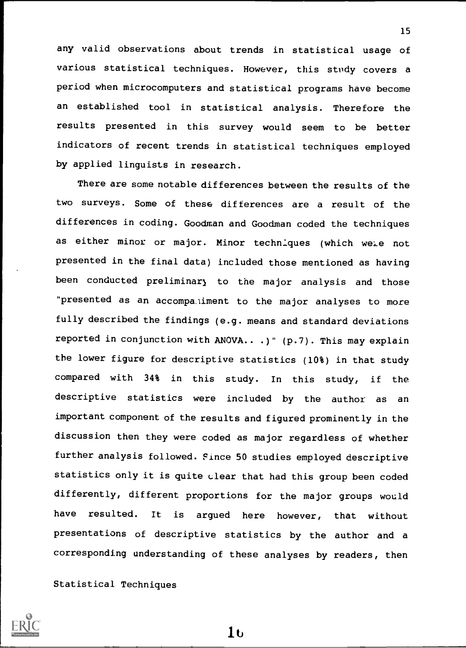any valid observations about trends in statistical usage of various statistical techniques. However, this study covers a period when microcomputers and statistical programs have become an established tool in statistical analysis. Therefore the results presented in this survey would seem to be better indicators of recent trends in statistical techniques employed by applied linguists in research.

There are some notable differences between the results of the two surveys. Some of these differences are a result of the differences in coding. Goodman and Goodman coded the techniques as either minor or major. Minor techniques (which wele not presented in the final data) included those mentioned as having been conducted preliminary to the major analysis and those "presented as an accompaiiment to the major analyses to more fully described the findings (e.g. means and standard deviations reported in conjunction with ANOVA.. .)" (p.7). This may explain the lower figure for descriptive statistics (10%) in that study compared with 34% in this study. In this study, if the descriptive statistics were included by the author as an important component of the results and figured prominently in the discussion then they were coded as major regardless of whether further analysis followed. Pince 50 studies employed descriptive statistics only it is quite clear that had this group been coded differently, different proportions for the major groups would have resulted. It is argued here however, that without presentations of descriptive statistics by the author and a corresponding understanding of these analyses by readers, then

Statistical Techniques



1 t)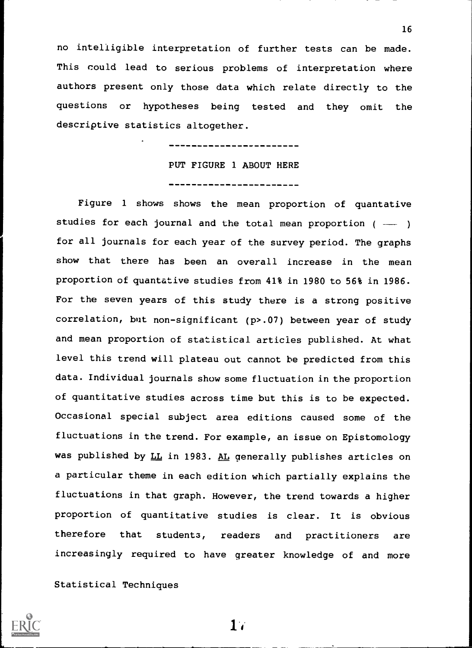no intelligible interpretation of further tests can be made. This could lead to serious problems of interpretation where authors present only those data which relate directly to the questions or hypotheses being tested and they omit the descriptive statistics altogether.

> -----------------PUT FIGURE 1 ABOUT HERE ---------------------

Figure <sup>1</sup> shows shows the mean proportion of quantative studies for each journal and the total mean proportion (  $\mathcal{L}$  , and the set of  $\mathcal{L}$ for all journals for each year of the survey period. The graphs show that there has been an overall increase in the mean proportion of quantative studies from 41% in 1980 to 56% in 1986. For the seven years of this study there is a strong positive correlation, but non-significant (p>.07) between year of study and mean proportion of statistical articles published. At what level this trend will plateau out cannot be predicted from this data. Individual journals show some fluctuation in the proportion of quantitative studies across time but this is to be expected. Occasional special subject area editions caused some of the fluctuations in the trend. For example, an issue on Epistomology was published by LL in 1983. AL generally publishes articles on a particular theme in each edition which partially explains the fluctuations in that graph. However, the trend towards a higher proportion of quantitative studies is clear. It is obvious therefore that students, readers and practitioners are increasingly required to have greater knowledge of and more

Statistical Techniques

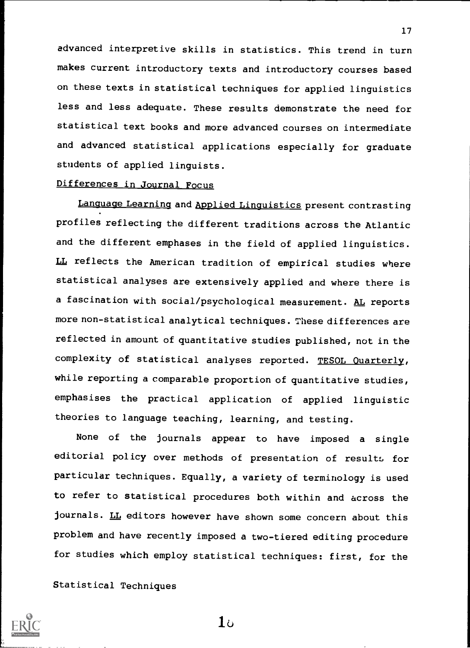advanced interpretive skills in statistics. This trend in turn makes current introductory texts and introductory courses based on these texts in statistical techniques for applied linguistics less and less adequate. These results demonstrate the need for statistical text books and more advanced courses on intermediate and advanced statistical applications especially for graduate students of applied linguists.

## Differences in Journal Focus

Language Learning and Applied Linguistics present contrasting profiles reflecting the different traditions across the Atlantic and the different emphases in the field of applied linguistics. LL reflects the American tradition of empirical studies where statistical analyses are extensively applied and where there is a fascination with social/psychological measurement. AL reports more non-statistical analytical techniques. These differences are reflected in amount of quantitative studies published, not in the complexity of statistical analyses reported. TESOL Quarterly, while reporting a comparable proportion of quantitative studies, emphasises the practical application of applied linguistic theories to language teaching, learning, and testing.

None of the journals appear to have imposed <sup>a</sup> single editorial policy over methods of presentation of results for particular techniques. Equally, a variety of terminology is used to refer to statistical procedures both within and across the journals. LL editors however have shown some concern about this problem and have recently imposed a two-tiered editing procedure for studies which employ statistical techniques: first, for the

Statistical Techniques



 $1<sub>b</sub>$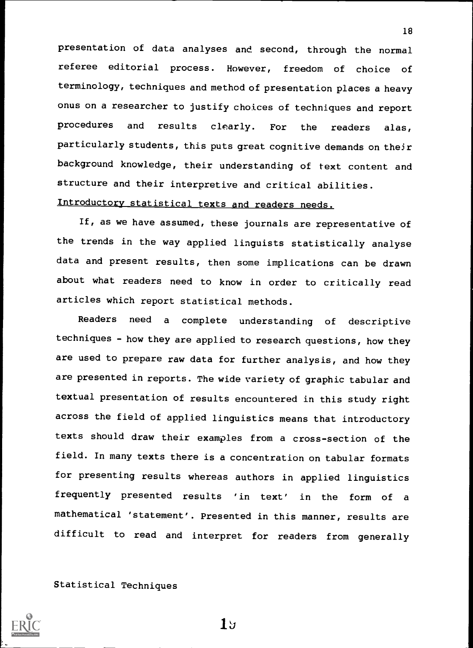presentation of data analyses and second, through the normal referee editorial process. However, freedom of choice of terminology, techniques and method of presentation places a heavy onus on a researcher to justify choices of techniques and report procedures and results clearly. For the readers alas, particularly students, this puts great cognitive demands on their background knowledge, their understanding of text content and structure and their interpretive and critical abilities.

18

# Introductory statistical texts and readers needs.

If, as we have assumed, these journals are representative of the trends in the way applied linguists statistically analyse data and present results, then some implications can be drawn about what readers need to know in order to critically read articles which report statistical methods.

Readers need <sup>a</sup> complete understanding of descriptive techniques - how they are applied to research questions, how they are used to prepare raw data for further analysis, and how they are presented in reports. The wide variety of graphic tabular and textual presentation of results encountered in this study right across the field of applied linguistics means that introductory texts should draw their examples from a cross-section of the field. In many texts there is a concentration on tabular formats for presenting results whereas authors in applied linguistics frequently presented results 'in text' in the form of <sup>a</sup> mathematical 'statement'. Presented in this manner, results are difficult to read and interpret for readers from generally

Statistical Techniques



 $1<sub>5</sub>$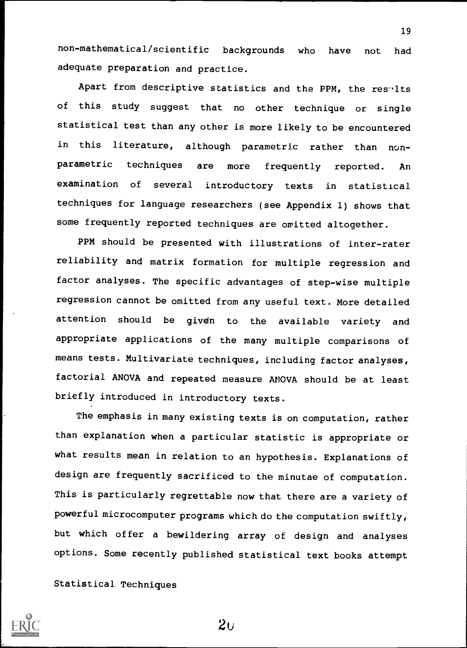non-mathematical/scientific backgrounds who have not had adequate preparation and practice.

Apart from descriptive statistics and the PPM, the results of this study suggest that no other technique or single statistical test than any other is more likely to be encountered in this literature, although parametric rather than nonparametric techniques are more frequently reported. An examination of several introductory texts in statistical techniques for language researchers (see Appendix 1) shows that some frequently reported techniques are omitted altogether.

PPM should be presented with illustrations of inter-rater reliability and matrix formation for multiple regression and factor analyses. The specific advantages of step-wise multiple regression cannot be omitted from any useful text. More detailed attention should be given to the available variety and appropriate applications of the many multiple comparisons of means tests. Multivariate techniques, including factor analyses, factorial ANOVA and repeated measure ANOVA should be at least briefly introduced in introductory texts.

The emphasis in many existing texts is on computation, rather than explanation when a particular statistic is appropriate or what results mean in relation to an hypothesis. Explanations of design are frequently sacrificed to the minutae of computation. This is particularly regrettable now that there are a variety of powerful microcomputer programs which do the computation swiftly, but which offer a bewildering array of design and analyses options. Some recently published statistical text books attempt

Statistical Techniques



19

 $2\sigma$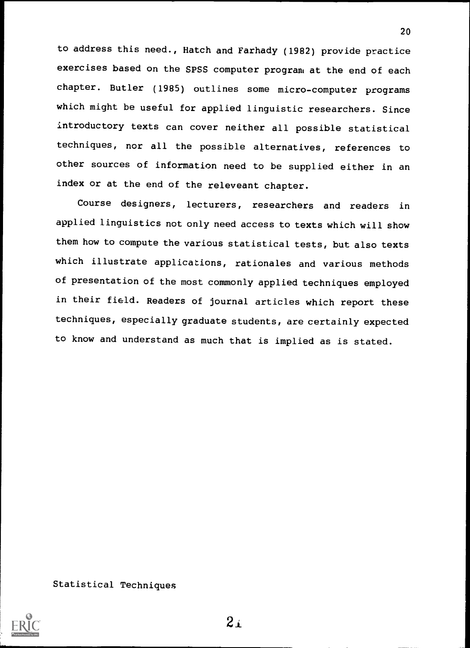to address this need., Hatch and Farhady (1982) provide practice exercises based on the SPSS computer program at the end of each chapter. Butler (1985) outlines some micro-computer programs which might be useful for applied linguistic researchers. Since introductory texts can cover neither all possible statistical techniques, nor all the possible alternatives, references to other sources of information need to be supplied either in an index or at the end of the releveant chapter.

20

Course designers, lecturers, researchers and readers in applied linguistics not only need access to texts which will show them how to compute the various statistical tests, but also texts which illustrate applications, rationales and various methods of presentation of the most commonly applied techniques employed in their field. Readers of journal articles which report these techniques, especially graduate students, are certainly expected to know and understand as much that is implied as is stated.

Statistical Techniques

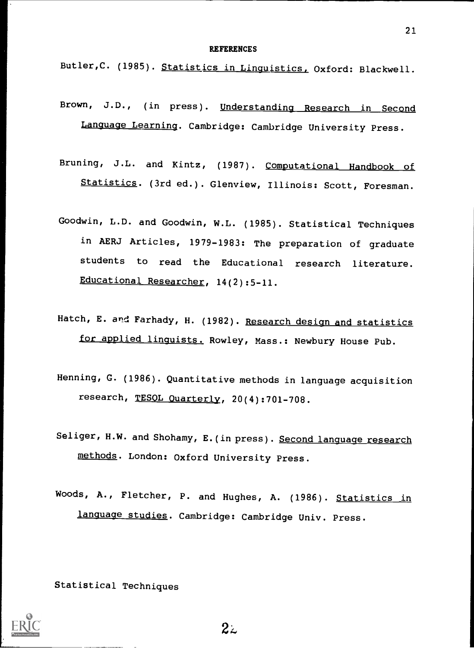#### **REFERENCES**

Butler, C. (1985). Statistics in Linguistics, Oxford: Blackwell.

- Brown, J.D., (in press). Understanding Research in Second Language Learning. Cambridge: Cambridge University Press.
- Bruning, J.L. and Kintz, (1987). Computational Handbook of Statistics. (3rd ed.). Glenview, Illinois: Scott, Foresman.
- Goodwin, L.D. and Goodwin, W.L. (1985). Statistical Techniques in AERJ Articles, 1979-1983: The preparation of graduate students to read the Educational research literature. Educational Researcher, 14(2):5-11.
- Hatch, E. and Farhady, H. (1982). Research design and statistics for applied linguists. Rowley, Mass.: Newbury House Pub.
- Henning, G. (1986). Quantitative methods in language acquisition research, TESOL Quarterly, 20(4):701-708.
- Seliger, H.W. and Shohamy, E. (in press). Second language research methods. London: Oxford University Press.
- Woods, A., Fletcher, P. and Hughes, A. (1986). Statistics in language studies. Cambridge: Cambridge Univ. Press.

Statistical Techniques



 $2z$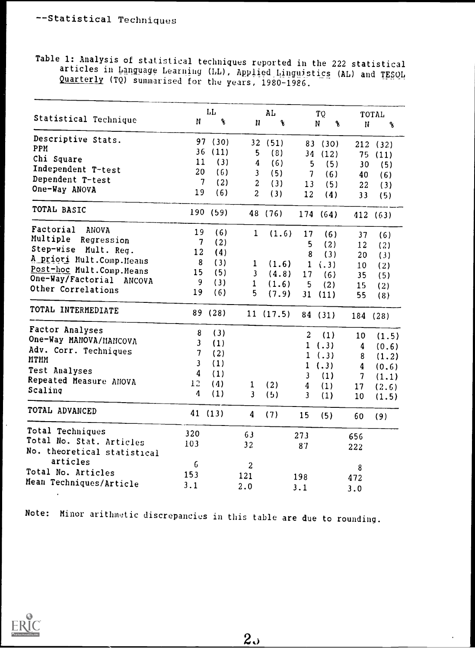Table 1: Analysis of statistical techniques reported in the 222 statistical articles in Language Learning (LL), Applied Linguistics (AL) and TESQL Quarterly (TQ) summarised for the years, 1980-1986.

|                             |                         | LL                 |                         | AL                 |                         | TQ       |                          | TOTAL                 |
|-----------------------------|-------------------------|--------------------|-------------------------|--------------------|-------------------------|----------|--------------------------|-----------------------|
| Statistical Technique       | $\mathbf{N}$            | $\pmb{\mathsf{S}}$ | N                       | $\pmb{\mathsf{R}}$ |                         | N<br>g   | N                        | $\boldsymbol{\delta}$ |
| Descriptive Stats.          |                         | 97 (30)            |                         | 32 (51)            |                         | 83 (30)  |                          | 212(32)               |
| PPM                         |                         | 36(11)             | 5                       | (8)                |                         | 34(12)   | 75                       | (11)                  |
| Chi Square                  | 11                      | (3)                | 4                       | (6)                | 5                       | (5)      | 30                       | (5)                   |
| Independent T-test          | 20                      | (6)                | 3                       | (5)                | $\overline{7}$          | (6)      | 40                       | (6)                   |
| Dependent T-test            | $\overline{7}$          | (2)                | $\boldsymbol{2}$        | (3)                | 13                      | (5)      | 22                       | (3)                   |
| One-Way ANOVA               | 19                      | (6)                | $\overline{c}$          | (3)                | 12                      | (4)      | 33                       | (5)                   |
| TOTAL BASIC                 |                         | 190 (59)           |                         | 48 (76)            |                         | 174 (64) |                          | 412 (63)              |
| Factorial<br>ANOVA          | 19                      | (6)                | 1                       | (1.6)              | 17                      | (6)      | 37                       | (6)                   |
| Multiple<br>Regression      | $\overline{7}$          | (2)                |                         |                    | 5                       | (2)      | 12                       | (2)                   |
| Step-wise Mult. Reg.        | 12                      | (4)                |                         |                    | 8                       | (3)      | 20                       | (3)                   |
| A priori Mult.Comp.Means    | 8                       | (3)                | 1                       | (1.6)              | $\mathbf{1}$            | (3)      | 10                       | (2)                   |
| Post-hoc Mult.Comp.Means    | 15                      | (5)                | $\overline{\mathbf{3}}$ | (4.8)              | 17                      | (6)      | 35                       | (5)                   |
| One-Way/Factorial ANCOVA    | 9                       | (3)                | $\mathbf{1}$            | (1.6)              | 5                       | (2)      | 15                       |                       |
| Other Correlations          | 19                      | (6)                | 5                       | (7.9)              | 31                      | (11)     | 55                       | (2)<br>(8)            |
| TOTAL INTERMEDIATE          |                         | 89 (28)            |                         | 11(17.5)           |                         | 84 (31)  |                          | 184 (28)              |
| Factor Analyses             | 8                       | (3)                |                         |                    | $\overline{c}$          | (1)      | 10                       | (1.5)                 |
| One-Way MANOVA/MANCOVA      | $\mathbf{3}$            | (1)                |                         |                    |                         | 1( .3)   | $\boldsymbol{4}$         | (0.6)                 |
| Adv. Corr. Techniques       | $\overline{7}$          | (2)                |                         |                    |                         | 1( .3)   | 8                        | (1.2)                 |
| <b>MTMM</b>                 | $\overline{\mathbf{3}}$ | (1)                |                         |                    | $\mathbf{1}$            | (.3)     | $\boldsymbol{4}$         |                       |
| Test Analyses               | $\boldsymbol{4}$        | (1)                |                         |                    | $\mathbf{3}$            | (1)      | $\overline{\mathcal{L}}$ | (0.6)                 |
| Repeated Measure ANOVA      | 12                      | (4)                | $\mathbf{1}$            | (2)                | 4                       | (1)      |                          | (1.1)                 |
| Scaling                     | $\boldsymbol{\Lambda}$  | (1)                | $\overline{\mathbf{3}}$ | (5)                | $\overline{\mathbf{3}}$ | (1)      | 17<br>10                 | (2.6)<br>(1.5)        |
| TOTAL ADVANCED              |                         | 41(13)             | 4                       | (7)                | 15                      | (5)      | 60                       | (9)                   |
| Total Techniques            | 320                     |                    | 63                      |                    | 273                     |          |                          |                       |
| Total No. Stat. Articles    | 103                     |                    | 32                      |                    |                         |          | 656                      |                       |
| No. theoretical statistical |                         |                    |                         |                    | 87                      |          | 222                      |                       |
| articles                    | $\epsilon$              |                    | $\boldsymbol{2}$        |                    |                         |          |                          |                       |
| Total No. Articles          | 153                     |                    |                         |                    |                         |          | 8                        |                       |
| Mean Techniques/Article     |                         |                    | 121                     |                    | 198                     |          | 472                      |                       |
|                             | 3.1                     |                    | 2.0                     |                    | 3.1                     |          | 3.0                      |                       |

Note: Minor arithmetic discrepancies in this table are due to rounding.

 $2<sub>o</sub>$ 

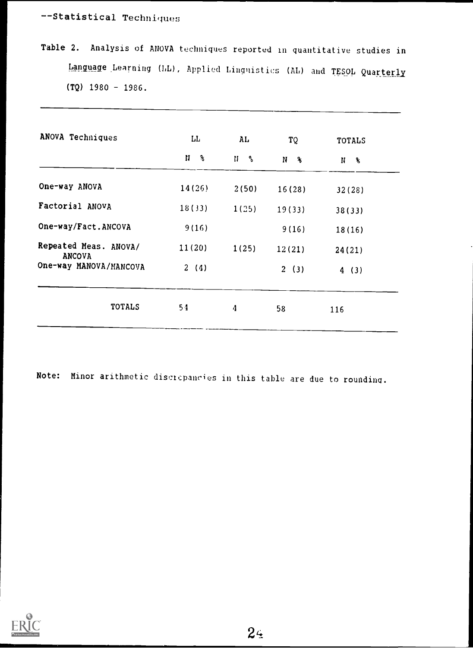--Statistical Techniques

Table 2. Analysis of ANOVA techniques reported in quantitative studies in Language Learning (LL), Applied Linguistics (AL) and TESOL Quarterly  $(TQ)$  1980 - 1986.

| ANOVA Techniques                       | LL                    | AL.                                       | TQ             | <b>TOTALS</b> |
|----------------------------------------|-----------------------|-------------------------------------------|----------------|---------------|
|                                        | N<br>$\mathbf{3}_{6}$ | $\mathbf{H}$<br>$\mathbf{e}_{\mathbf{e}}$ | N <sub>8</sub> | $N$ $\%$      |
| One-way ANOVA                          | 14(26)                | 2(50)                                     | 16(28)         | 32(28)        |
| Factorial ANOVA                        | 18(33)                | 1(25)                                     | 19(33)         | 38(33)        |
| One-way/Fact.ANCOVA                    | 9(16)                 |                                           | 9(16)          | 18(16)        |
| Repeated Meas. ANOVA/<br><b>ANCOVA</b> | 11(20)                | 1(25)                                     | 12(21)         | 24(21)        |
| One-way MANOVA/MANCOVA                 | 2(4)                  |                                           | 2(3)           | 4(3)          |
| <b>TOTALS</b>                          | 54                    | 4                                         | 58             | 116           |

Note: Minor arithmetic disctcpanc'es in this table are due to rounding.

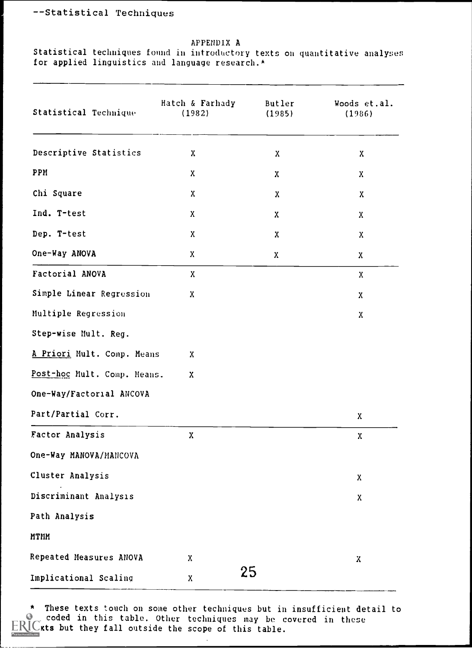## --Statistical Techniques

### APPENDIX A

Statistical techniques found in introductory texts on quantitative analyses for applied linguistics and language research.\*

| Statistical Technique       | Hatch & Farhady<br>(1982) | Butler<br>(1985) | Woods et.al.<br>(1986)    |
|-----------------------------|---------------------------|------------------|---------------------------|
| Descriptive Statistics      | X                         | $\mathbf{x}$     | $\mathbf{x}$              |
| PPM                         | X.                        | $\mathbf{x}$     | $\mathbf{x}$              |
| Chi Square                  | $\mathbf{X}$              | $\mathbf{x}$     | $\mathbf{x}$              |
| Ind. T-test                 | X                         | X                | X                         |
| Dep. T-test                 | X                         | $\mathbf{x}$     | $\boldsymbol{\mathsf{X}}$ |
| One-Way ANOVA               | $\mathbf{x}$              | $\mathbf{x}$     | X.                        |
| Factorial ANOVA             | $\mathbf{x}$              |                  | $\boldsymbol{\mathrm{X}}$ |
| Simple Linear Regression    | $\mathbf{x}$              |                  | $\mathbf{X}$              |
| Multiple Regression         |                           |                  | $\mathbf{x}$              |
| Step-wise Mult. Reg.        |                           |                  |                           |
| A Priori Mult. Comp. Means  | $\mathbf{x}$              |                  |                           |
| Post-hoc Mult. Comp. Means. | $\mathbf{x}$              |                  |                           |
| One-Way/Factorial ANCOVA    |                           |                  |                           |
| Part/Partial Corr.          |                           |                  | $\mathbf{X}$              |
| Factor Analysis             | $\mathbf{x}$              |                  | X                         |
| One-Way MANOVA/MANCOVA      |                           |                  |                           |
| Cluster Analysis            |                           |                  | $\boldsymbol{\mathrm{X}}$ |
| Discriminant Analysis       |                           |                  | $\mathbf{x}$              |
| Path Analysis               |                           |                  |                           |
| MTMM                        |                           |                  |                           |
| Repeated Measures ANOVA     | X                         |                  | χ                         |
| Implicational Scaling       | X                         | 25               |                           |

\* These texts touch on some other techniques but in insufficient detail to  $\epsilon$  coded in this table. Other techniques may be covered in these  $\cup$ xts but they fall outside the scope of this table.

i